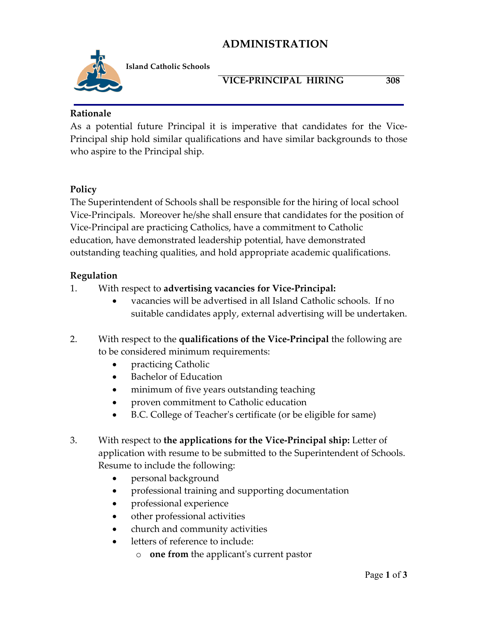## **ADMINISTRATION**



**Island Catholic Schools** 

#### **VICE-PRINCIPAL HIRING 308**

#### **Rationale**

As a potential future Principal it is imperative that candidates for the Vice-Principal ship hold similar qualifications and have similar backgrounds to those who aspire to the Principal ship.

### **Policy**

The Superintendent of Schools shall be responsible for the hiring of local school Vice-Principals. Moreover he/she shall ensure that candidates for the position of Vice-Principal are practicing Catholics, have a commitment to Catholic education, have demonstrated leadership potential, have demonstrated outstanding teaching qualities, and hold appropriate academic qualifications.

#### **Regulation**

- 1. With respect to **advertising vacancies for Vice-Principal:**
	- vacancies will be advertised in all Island Catholic schools. If no suitable candidates apply, external advertising will be undertaken.
- 2. With respect to the **qualifications of the Vice-Principal** the following are to be considered minimum requirements:
	- practicing Catholic
	- Bachelor of Education
	- minimum of five years outstanding teaching
	- proven commitment to Catholic education
	- B.C. College of Teacher's certificate (or be eligible for same)
- 3. With respect to **the applications for the Vice-Principal ship:** Letter of application with resume to be submitted to the Superintendent of Schools. Resume to include the following:
	- personal background
	- professional training and supporting documentation
	- professional experience
	- other professional activities
	- church and community activities
	- letters of reference to include:
		- o **one from** the applicant's current pastor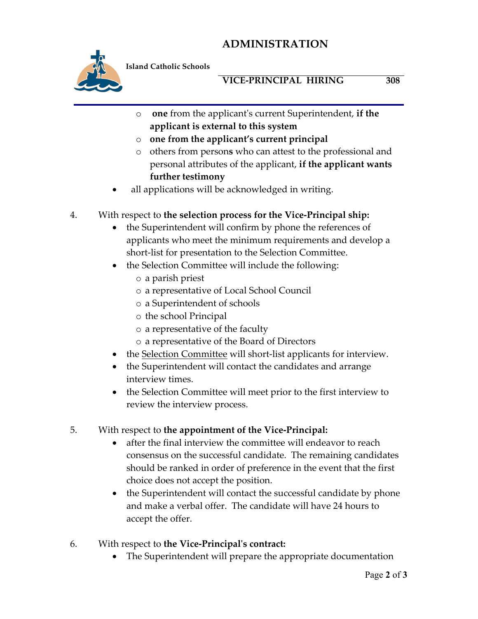# **ADMINISTRATION**



**Island Catholic Schools** 

### **VICE-PRINCIPAL HIRING 308**

- o **one** from the applicant's current Superintendent, **if the applicant is external to this system**
- o **one from the applicant's current principal**
- o others from person**s** who can attest to the professional and personal attributes of the applicant, **if the applicant wants further testimony**
- all applications will be acknowledged in writing.

#### 4. With respect to **the selection process for the Vice-Principal ship:**

- the Superintendent will confirm by phone the references of applicants who meet the minimum requirements and develop a short-list for presentation to the Selection Committee.
- the Selection Committee will include the following:
	- o a parish priest
	- o a representative of Local School Council
	- o a Superintendent of schools
	- o the school Principal
	- o a representative of the faculty
	- o a representative of the Board of Directors
- the Selection Committee will short-list applicants for interview.
- the Superintendent will contact the candidates and arrange interview times.
- the Selection Committee will meet prior to the first interview to review the interview process.

#### 5. With respect to **the appointment of the Vice-Principal:**

- after the final interview the committee will endeavor to reach consensus on the successful candidate. The remaining candidates should be ranked in order of preference in the event that the first choice does not accept the position.
- the Superintendent will contact the successful candidate by phone and make a verbal offer. The candidate will have 24 hours to accept the offer.
- 6. With respect to **the Vice-Principal's contract:**
	- The Superintendent will prepare the appropriate documentation